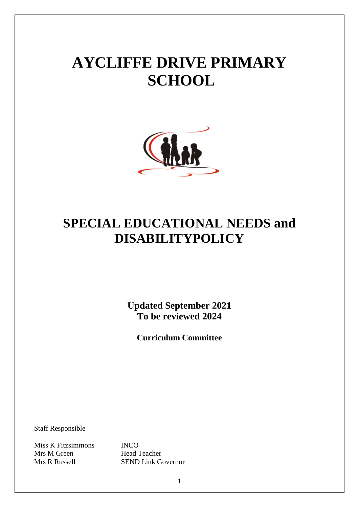# **AYCLIFFE DRIVE PRIMARY SCHOOL**



# **SPECIAL EDUCATIONAL NEEDS and DISABILITYPOLICY**

**Updated September 2021 To be reviewed 2024**

**Curriculum Committee**

Staff Responsible

Miss K Fitzsimmons INCO Mrs M Green Head Teacher

Mrs R Russell SEND Link Governor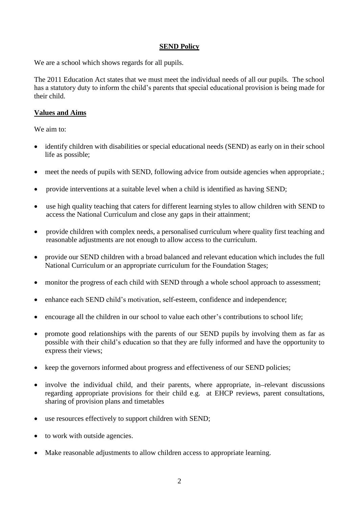#### **SEND Policy**

We are a school which shows regards for all pupils.

The 2011 Education Act states that we must meet the individual needs of all our pupils. The school has a statutory duty to inform the child's parents that special educational provision is being made for their child.

# **Values and Aims**

We aim to:

- identify children with disabilities or special educational needs (SEND) as early on in their school life as possible;
- meet the needs of pupils with SEND, following advice from outside agencies when appropriate.;
- provide interventions at a suitable level when a child is identified as having SEND;
- use high quality teaching that caters for different learning styles to allow children with SEND to access the National Curriculum and close any gaps in their attainment;
- provide children with complex needs, a personalised curriculum where quality first teaching and reasonable adjustments are not enough to allow access to the curriculum.
- provide our SEND children with a broad balanced and relevant education which includes the full National Curriculum or an appropriate curriculum for the Foundation Stages;
- monitor the progress of each child with SEND through a whole school approach to assessment;
- enhance each SEND child's motivation, self-esteem, confidence and independence;
- encourage all the children in our school to value each other's contributions to school life;
- promote good relationships with the parents of our SEND pupils by involving them as far as possible with their child's education so that they are fully informed and have the opportunity to express their views;
- keep the governors informed about progress and effectiveness of our SEND policies;
- involve the individual child, and their parents, where appropriate, in-relevant discussions regarding appropriate provisions for their child e.g. at EHCP reviews, parent consultations, sharing of provision plans and timetables
- use resources effectively to support children with SEND;
- to work with outside agencies.
- Make reasonable adjustments to allow children access to appropriate learning.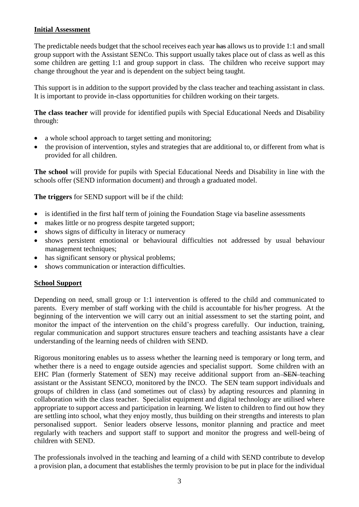# **Initial Assessment**

The predictable needs budget that the school receives each year has allows us to provide 1:1 and small group support with the Assistant SENCo. This support usually takes place out of class as well as this some children are getting 1:1 and group support in class. The children who receive support may change throughout the year and is dependent on the subject being taught.

This support is in addition to the support provided by the class teacher and teaching assistant in class. It is important to provide in-class opportunities for children working on their targets.

**The class teacher** will provide for identified pupils with Special Educational Needs and Disability through:

- a whole school approach to target setting and monitoring;
- the provision of intervention, styles and strategies that are additional to, or different from what is provided for all children.

**The school** will provide for pupils with Special Educational Needs and Disability in line with the schools offer (SEND information document) and through a graduated model.

**The triggers** for SEND support will be if the child:

- is identified in the first half term of joining the Foundation Stage via baseline assessments
- makes little or no progress despite targeted support;
- shows signs of difficulty in literacy or numeracy
- shows persistent emotional or behavioural difficulties not addressed by usual behaviour management techniques;
- has significant sensory or physical problems;
- shows communication or interaction difficulties.

# **School Support**

Depending on need, small group or 1:1 intervention is offered to the child and communicated to parents. Every member of staff working with the child is accountable for his/her progress. At the beginning of the intervention we will carry out an initial assessment to set the starting point, and monitor the impact of the intervention on the child's progress carefully. Our induction, training, regular communication and support structures ensure teachers and teaching assistants have a clear understanding of the learning needs of children with SEND.

Rigorous monitoring enables us to assess whether the learning need is temporary or long term, and whether there is a need to engage outside agencies and specialist support. Some children with an EHC Plan (formerly Statement of SEN) may receive additional support from an SEN teaching assistant or the Assistant SENCO, monitored by the INCO. The SEN team support individuals and groups of children in class (and sometimes out of class) by adapting resources and planning in collaboration with the class teacher. Specialist equipment and digital technology are utilised where appropriate to support access and participation in learning. We listen to children to find out how they are settling into school, what they enjoy mostly, thus building on their strengths and interests to plan personalised support. Senior leaders observe lessons, monitor planning and practice and meet regularly with teachers and support staff to support and monitor the progress and well-being of children with SEND.

The professionals involved in the teaching and learning of a child with SEND contribute to develop a provision plan, a document that establishes the termly provision to be put in place for the individual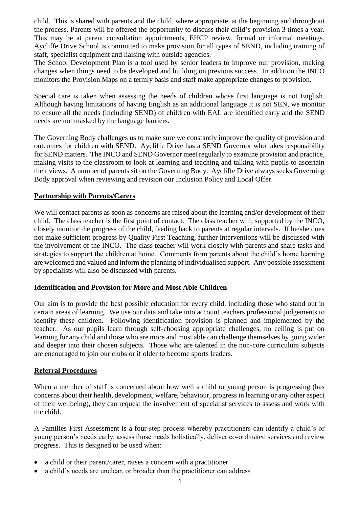child. This is shared with parents and the child, where appropriate, at the beginning and throughout the process. Parents will be offered the opportunity to discuss their child's provision 3 times a year. This may be at parent consultation appointments, EHCP review, formal or informal meetings. Aycliffe Drive School is committed to make provision for all types of SEND, including training of staff, specialist equipment and liaising with outside agencies.

The School Development Plan is a tool used by senior leaders to improve our provision, making changes when things need to be developed and building on previous success. In addition the INCO monitors the Provision Maps on a termly basis and staff make appropriate changes to provision.

Special care is taken when assessing the needs of children whose first language is not English. Although having limitations of having English as an additional language it is not SEN, we monitor to ensure all the needs (including SEND) of children with EAL are identified early and the SEND needs are not masked by the language barriers.

The Governing Body challenges us to make sure we constantly improve the quality of provision and outcomes for children with SEND. Aycliffe Drive has a SEND Governor who takes responsibility for SEND matters. The INCO and SEND Governor meet regularly to examine provision and practice, making visits to the classroom to look at learning and teaching and talking with pupils to ascertain their views. A number of parents sit on the Governing Body. Aycliffe Drive always seeks Governing Body approval when reviewing and revision our Inclusion Policy and Local Offer.

#### **Partnership with Parents/Carers**

We will contact parents as soon as concerns are raised about the learning and/or development of their child. The class teacher is the first point of contact. The class teacher will, supported by the INCO, closely monitor the progress of the child, feeding back to parents at regular intervals. If he/she does not make sufficient progress by Quality First Teaching, further interventions will be discussed with the involvement of the INCO. The class teacher will work closely with parents and share tasks and strategies to support the children at home. Comments from parents about the child's home learning are welcomed and valued and inform the planning of individualised support. Any possible assessment by specialists will also be discussed with parents.

# **Identification and Provision for More and Most Able Children**

Our aim is to provide the best possible education for every child, including those who stand out in certain areas of learning. We use our data and take into account teachers professional judgements to identify these children. Following identification provision is planned and implemented by the teacher. As our pupils learn through self-choosing appropriate challenges, no ceiling is put on learning for any child and those who are more and most able can challenge themselves by going wider and deeper into their chosen subjects. Those who are talented in the non-core curriculum subjects are encouraged to join our clubs or if older to become sports leaders.

# **Referral Procedures**

When a member of staff is concerned about how well a child or young person is progressing (has concerns about their health, development, welfare, behaviour, progress in learning or any other aspect of their wellbeing), they can request the involvement of specialist services to assess and work with the child.

A Families First Assessment is a four-step process whereby practitioners can identify a child's or young person's needs early, assess those needs holistically, deliver co-ordinated services and review progress. This is designed to be used when:

- a child or their parent/carer, raises a concern with a practitioner
- a child's needs are unclear, or broader than the practitioner can address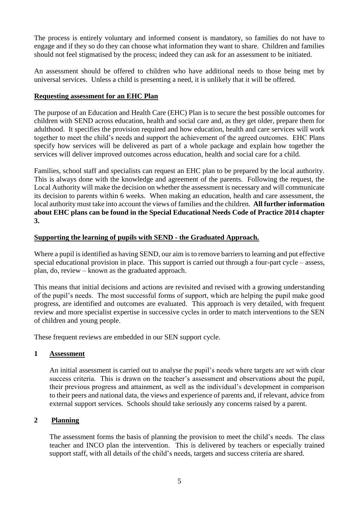The process is entirely voluntary and informed consent is mandatory, so families do not have to engage and if they so do they can choose what information they want to share. Children and families should not feel stigmatised by the process; indeed they can ask for an assessment to be initiated.

An assessment should be offered to children who have additional needs to those being met by universal services. Unless a child is presenting a need, it is unlikely that it will be offered.

#### **Requesting assessment for an EHC Plan**

The purpose of an Education and Health Care (EHC) Plan is to secure the best possible outcomes for children with SEND across education, health and social care and, as they get older, prepare them for adulthood. It specifies the provision required and how education, health and care services will work together to meet the child's needs and support the achievement of the agreed outcomes. EHC Plans specify how services will be delivered as part of a whole package and explain how together the services will deliver improved outcomes across education, health and social care for a child.

Families, school staff and specialists can request an EHC plan to be prepared by the local authority. This is always done with the knowledge and agreement of the parents. Following the request, the Local Authority will make the decision on whether the assessment is necessary and will communicate its decision to parents within 6 weeks. When making an education, health and care assessment, the local authority must take into account the views of families and the children. **All further information about EHC plans can be found in the Special Educational Needs Code of Practice 2014 chapter 3.**

# **Supporting the learning of pupils with SEND - the Graduated Approach.**

Where a pupil is identified as having SEND, our aim is to remove barriers to learning and put effective special educational provision in place. This support is carried out through a four-part cycle – assess, plan, do, review – known as the graduated approach.

This means that initial decisions and actions are revisited and revised with a growing understanding of the pupil's needs. The most successful forms of support, which are helping the pupil make good progress, are identified and outcomes are evaluated. This approach is very detailed, with frequent review and more specialist expertise in successive cycles in order to match interventions to the SEN of children and young people.

These frequent reviews are embedded in our SEN support cycle.

# **1 Assessment**

An initial assessment is carried out to analyse the pupil's needs where targets are set with clear success criteria. This is drawn on the teacher's assessment and observations about the pupil, their previous progress and attainment, as well as the individual's development in comparison to their peers and national data, the views and experience of parents and, if relevant, advice from external support services. Schools should take seriously any concerns raised by a parent.

# **2 Planning**

The assessment forms the basis of planning the provision to meet the child's needs. The class teacher and INCO plan the intervention. This is delivered by teachers or especially trained support staff, with all details of the child's needs, targets and success criteria are shared.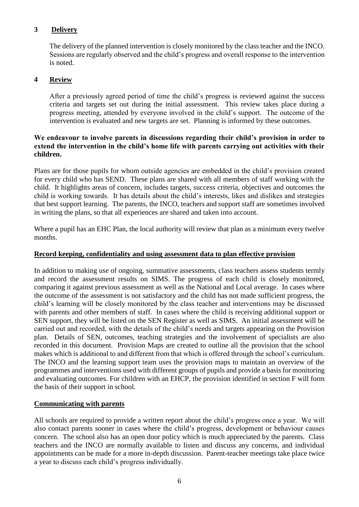# **3 Delivery**

The delivery of the planned intervention is closely monitored by the class teacher and the INCO. Sessions are regularly observed and the child's progress and overall response to the intervention is noted.

# **4 Review**

After a previously agreed period of time the child's progress is reviewed against the success criteria and targets set out during the initial assessment. This review takes place during a progress meeting, attended by everyone involved in the child's support. The outcome of the intervention is evaluated and new targets are set. Planning is informed by these outcomes.

# **We endeavour to involve parents in discussions regarding their child's provision in order to extend the intervention in the child's home life with parents carrying out activities with their children.**

Plans are for those pupils for whom outside agencies are embedded in the child's provision created for every child who has SEND. These plans are shared with all members of staff working with the child. It highlights areas of concern, includes targets, success criteria, objectives and outcomes the child is working towards. It has details about the child's interests, likes and dislikes and strategies that best support learning. The parents, the INCO, teachers and support staff are sometimes involved in writing the plans, so that all experiences are shared and taken into account.

Where a pupil has an EHC Plan, the local authority will review that plan as a minimum every twelve months.

#### **Record keeping, confidentiality and using assessment data to plan effective provision**

In addition to making use of ongoing, summative assessments, class teachers assess students termly and record the assessment results on SIMS. The progress of each child is closely monitored, comparing it against previous assessment as well as the National and Local average. In cases where the outcome of the assessment is not satisfactory and the child has not made sufficient progress, the child's learning will be closely monitored by the class teacher and interventions may be discussed with parents and other members of staff. In cases where the child is receiving additional support or SEN support, they will be listed on the SEN Register as well as SIMS. An initial assessment will be carried out and recorded, with the details of the child's needs and targets appearing on the Provision plan. Details of SEN, outcomes, teaching strategies and the involvement of specialists are also recorded in this document. Provision Maps are created to outline all the provision that the school makes which is additional to and different from that which is offered through the school's curriculum. The INCO and the learning support team uses the provision maps to maintain an overview of the programmes and interventions used with different groups of pupils and provide a basis for monitoring and evaluating outcomes. For children with an EHCP, the provision identified in section F will form the basis of their support in school.

# **Communicating with parents**

All schools are required to provide a written report about the child's progress once a year. We will also contact parents sooner in cases where the child's progress, development or behaviour causes concern. The school also has an open door policy which is much appreciated by the parents. Class teachers and the INCO are normally available to listen and discuss any concerns, and individual appointments can be made for a more in-depth discussion. Parent-teacher meetings take place twice a year to discuss each child's progress individually.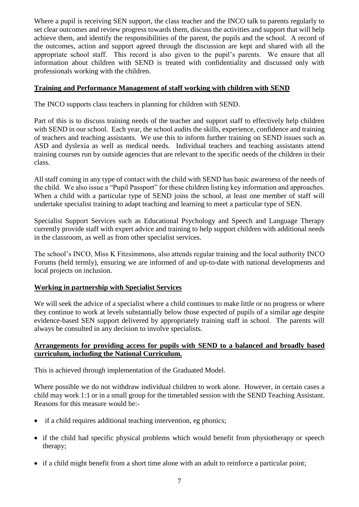Where a pupil is receiving SEN support, the class teacher and the INCO talk to parents regularly to set clear outcomes and review progress towards them, discuss the activities and support that will help achieve them, and identify the responsibilities of the parent, the pupils and the school. A record of the outcomes, action and support agreed through the discussion are kept and shared with all the appropriate school staff. This record is also given to the pupil's parents. We ensure that all information about children with SEND is treated with confidentiality and discussed only with professionals working with the children.

# **Training and Performance Management of staff working with children with SEND**

The INCO supports class teachers in planning for children with SEND.

Part of this is to discuss training needs of the teacher and support staff to effectively help children with SEND in our school. Each year, the school audits the skills, experience, confidence and training of teachers and teaching assistants. We use this to inform further training on SEND issues such as ASD and dyslexia as well as medical needs. Individual teachers and teaching assistants attend training courses run by outside agencies that are relevant to the specific needs of the children in their class.

All staff coming in any type of contact with the child with SEND has basic awareness of the needs of the child. We also issue a "Pupil Passport" for these children listing key information and approaches. When a child with a particular type of SEND joins the school, at least one member of staff will undertake specialist training to adapt teaching and learning to meet a particular type of SEN.

Specialist Support Services such as Educational Psychology and Speech and Language Therapy currently provide staff with expert advice and training to help support children with additional needs in the classroom, as well as from other specialist services.

The school's INCO, Miss K Fitzsimmons, also attends regular training and the local authority INCO Forums (held termly), ensuring we are informed of and up-to-date with national developments and local projects on inclusion.

# **Working in partnership with Specialist Services**

We will seek the advice of a specialist where a child continues to make little or no progress or where they continue to work at levels substantially below those expected of pupils of a similar age despite evidence-based SEN support delivered by appropriately training staff in school. The parents will always be consulted in any decision to involve specialists.

# **Arrangements for providing access for pupils with SEND to a balanced and broadly based curriculum, including the National Curriculum.**

This is achieved through implementation of the Graduated Model.

Where possible we do not withdraw individual children to work alone. However, in certain cases a child may work 1:1 or in a small group for the timetabled session with the SEND Teaching Assistant. Reasons for this measure would be:-

- if a child requires additional teaching intervention, eg phonics;
- if the child had specific physical problems which would benefit from physiotherapy or speech therapy;
- if a child might benefit from a short time alone with an adult to reinforce a particular point;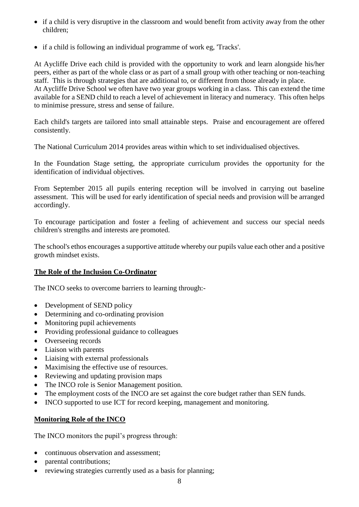- if a child is very disruptive in the classroom and would benefit from activity away from the other children;
- if a child is following an individual programme of work eg, 'Tracks'.

At Aycliffe Drive each child is provided with the opportunity to work and learn alongside his/her peers, either as part of the whole class or as part of a small group with other teaching or non-teaching staff. This is through strategies that are additional to, or different from those already in place. At Aycliffe Drive School we often have two year groups working in a class. This can extend the time available for a SEND child to reach a level of achievement in literacy and numeracy. This often helps to minimise pressure, stress and sense of failure.

Each child's targets are tailored into small attainable steps. Praise and encouragement are offered consistently.

The National Curriculum 2014 provides areas within which to set individualised objectives.

In the Foundation Stage setting, the appropriate curriculum provides the opportunity for the identification of individual objectives.

From September 2015 all pupils entering reception will be involved in carrying out baseline assessment. This will be used for early identification of special needs and provision will be arranged accordingly.

To encourage participation and foster a feeling of achievement and success our special needs children's strengths and interests are promoted.

The school's ethos encourages a supportive attitude whereby our pupils value each other and a positive growth mindset exists.

# **The Role of the Inclusion Co-Ordinator**

The INCO seeks to overcome barriers to learning through:-

- Development of SEND policy
- Determining and co-ordinating provision
- Monitoring pupil achievements
- Providing professional guidance to colleagues
- Overseeing records
- Liaison with parents
- Liaising with external professionals
- Maximising the effective use of resources.
- Reviewing and updating provision maps
- The INCO role is Senior Management position.
- The employment costs of the INCO are set against the core budget rather than SEN funds.
- INCO supported to use ICT for record keeping, management and monitoring.

# **Monitoring Role of the INCO**

The INCO monitors the pupil's progress through:

- continuous observation and assessment:
- parental contributions;
- reviewing strategies currently used as a basis for planning;